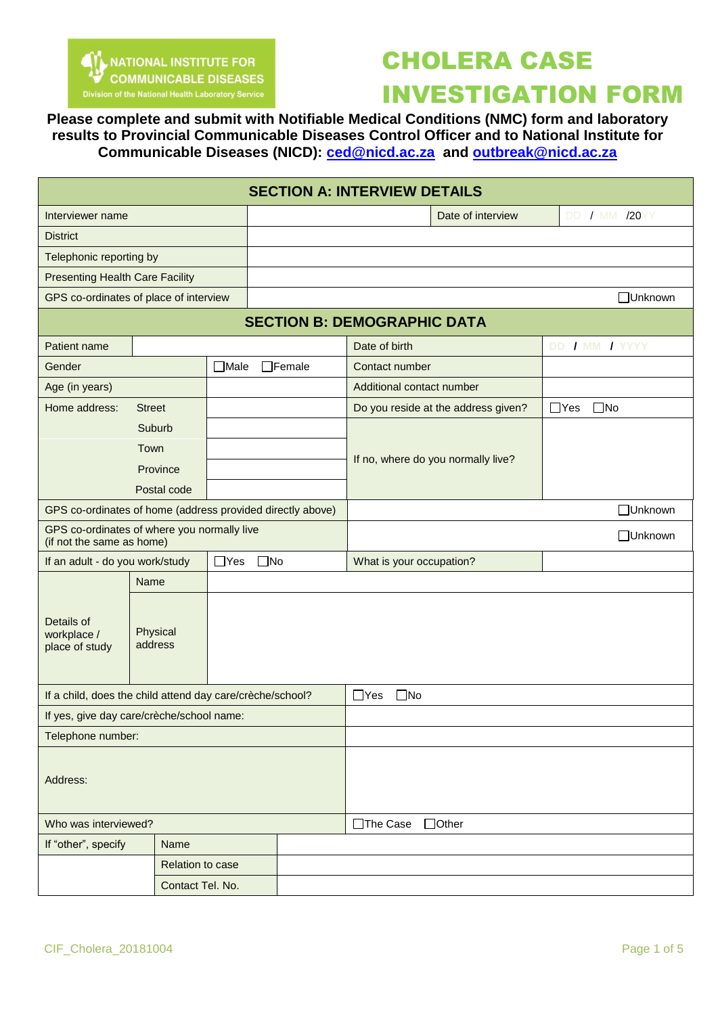

## CHOLERA CASE INVESTIGATION FORM

**Please complete and submit with Notifiable Medical Conditions (NMC) form and laboratory results to Provincial Communicable Diseases Control Officer and to National Institute for Communicable Diseases (NICD): [ced@nicd.ac.za](mailto:ced@nicd.ac.za) and [outbreak@nicd.ac.za](mailto:outbreak@nicd.ac.za)**

| <b>SECTION A: INTERVIEW DETAILS</b>                                      |                                           |             |               |                                     |                            |  |  |  |
|--------------------------------------------------------------------------|-------------------------------------------|-------------|---------------|-------------------------------------|----------------------------|--|--|--|
| Interviewer name                                                         |                                           |             |               | Date of interview                   | <b>DD / MM /20YY</b>       |  |  |  |
| <b>District</b>                                                          |                                           |             |               |                                     |                            |  |  |  |
| Telephonic reporting by                                                  |                                           |             |               |                                     |                            |  |  |  |
| <b>Presenting Health Care Facility</b>                                   |                                           |             |               |                                     |                            |  |  |  |
| GPS co-ordinates of place of interview                                   |                                           |             |               |                                     | □Unknown                   |  |  |  |
|                                                                          |                                           |             |               | <b>SECTION B: DEMOGRAPHIC DATA</b>  |                            |  |  |  |
| Patient name                                                             |                                           |             |               | Date of birth                       | DD / MM / YYYY             |  |  |  |
| Gender                                                                   |                                           | $\Box$ Male | $\Box$ Female | Contact number                      |                            |  |  |  |
| Age (in years)                                                           |                                           |             |               | Additional contact number           |                            |  |  |  |
| Home address:                                                            | <b>Street</b>                             |             |               | Do you reside at the address given? | $\Box$ Yes<br>$\square$ No |  |  |  |
|                                                                          | Suburb<br>Town<br>Province<br>Postal code |             |               | If no, where do you normally live?  |                            |  |  |  |
| GPS co-ordinates of home (address provided directly above)               |                                           |             |               |                                     | □Unknown                   |  |  |  |
| GPS co-ordinates of where you normally live<br>(if not the same as home) |                                           |             |               | □Unknown                            |                            |  |  |  |
| $\Box$ Yes<br>$\square$ No<br>If an adult - do you work/study            |                                           |             |               | What is your occupation?            |                            |  |  |  |
|                                                                          | Name                                      |             |               |                                     |                            |  |  |  |
| Details of<br>workplace /<br>place of study                              | Physical<br>address                       |             |               |                                     |                            |  |  |  |
| If a child, does the child attend day care/crèche/school?                |                                           |             |               | $\square$ No<br>$\Box$ Yes          |                            |  |  |  |
| If yes, give day care/crèche/school name:                                |                                           |             |               |                                     |                            |  |  |  |
| Telephone number:                                                        |                                           |             |               |                                     |                            |  |  |  |
| Address:                                                                 |                                           |             |               |                                     |                            |  |  |  |
| Who was interviewed?                                                     |                                           |             |               | $\Box$ Other<br>□The Case           |                            |  |  |  |
| If "other", specify<br>Name                                              |                                           |             |               |                                     |                            |  |  |  |
| Relation to case                                                         |                                           |             |               |                                     |                            |  |  |  |
| Contact Tel. No.                                                         |                                           |             |               |                                     |                            |  |  |  |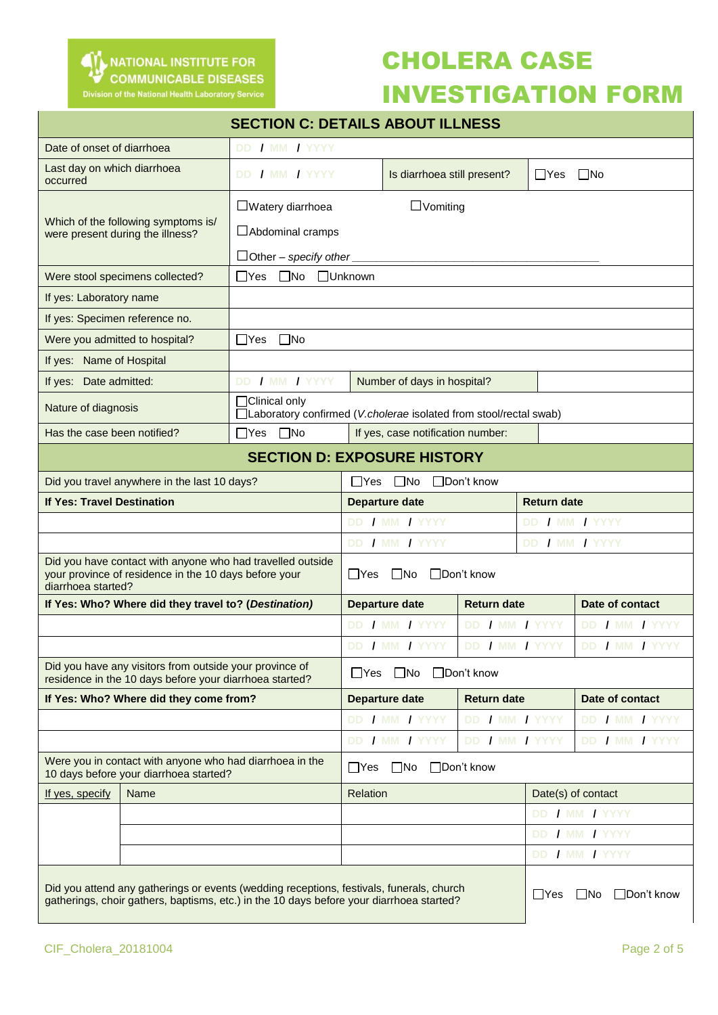

### CHOLERA CASE

### INVESTIGATION FORM

| <b>SECTION C: DETAILS ABOUT ILLNESS</b>                                                                                                   |                                                                                                                                                                                      |                                                                                            |                                                                      |                             |                    |                          |                    |  |
|-------------------------------------------------------------------------------------------------------------------------------------------|--------------------------------------------------------------------------------------------------------------------------------------------------------------------------------------|--------------------------------------------------------------------------------------------|----------------------------------------------------------------------|-----------------------------|--------------------|--------------------------|--------------------|--|
| DD / MM / YYYY<br>Date of onset of diarrhoea                                                                                              |                                                                                                                                                                                      |                                                                                            |                                                                      |                             |                    |                          |                    |  |
| Last day on which diarrhoea<br>occurred                                                                                                   |                                                                                                                                                                                      | DD / MM / YYYY                                                                             |                                                                      | Is diarrhoea still present? |                    | $\Box$ Yes               | $\Box$ No          |  |
| Which of the following symptoms is/<br>were present during the illness?                                                                   |                                                                                                                                                                                      | $\Box$ Watery diarrhoea<br>$\Box$ Abdominal cramps                                         | $\Box$ Vomiting<br>□Other - specify other <u>___________________</u> |                             |                    |                          |                    |  |
| $\Box$ Yes $\Box$ No<br>Were stool specimens collected?                                                                                   |                                                                                                                                                                                      |                                                                                            |                                                                      | □Unknown                    |                    |                          |                    |  |
| If yes: Laboratory name                                                                                                                   |                                                                                                                                                                                      |                                                                                            |                                                                      |                             |                    |                          |                    |  |
| If yes: Specimen reference no.                                                                                                            |                                                                                                                                                                                      |                                                                                            |                                                                      |                             |                    |                          |                    |  |
|                                                                                                                                           | Were you admitted to hospital?                                                                                                                                                       | $\Box$ Yes $\Box$ No                                                                       |                                                                      |                             |                    |                          |                    |  |
| If yes: Name of Hospital                                                                                                                  |                                                                                                                                                                                      |                                                                                            |                                                                      |                             |                    |                          |                    |  |
| If yes: Date admitted:                                                                                                                    |                                                                                                                                                                                      | DD / MM / YYYY                                                                             | Number of days in hospital?                                          |                             |                    |                          |                    |  |
| Nature of diagnosis                                                                                                                       |                                                                                                                                                                                      | $\Box$ Clinical only<br>□Laboratory confirmed (V.cholerae isolated from stool/rectal swab) |                                                                      |                             |                    |                          |                    |  |
| Has the case been notified?                                                                                                               |                                                                                                                                                                                      | $\Box$ No<br>$\Box$ Yes                                                                    | If yes, case notification number:                                    |                             |                    |                          |                    |  |
| <b>SECTION D: EXPOSURE HISTORY</b>                                                                                                        |                                                                                                                                                                                      |                                                                                            |                                                                      |                             |                    |                          |                    |  |
| Did you travel anywhere in the last 10 days?                                                                                              |                                                                                                                                                                                      |                                                                                            | $\square$ No<br>□Don't know<br>∐Yes                                  |                             |                    |                          |                    |  |
| <b>If Yes: Travel Destination</b>                                                                                                         |                                                                                                                                                                                      |                                                                                            | <b>Departure date</b>                                                |                             |                    |                          | <b>Return date</b> |  |
|                                                                                                                                           |                                                                                                                                                                                      |                                                                                            | DD / MM / YYYY                                                       |                             |                    |                          | DD / MM / YYYY     |  |
|                                                                                                                                           |                                                                                                                                                                                      |                                                                                            | DD / MM / YYYY                                                       |                             |                    |                          | DD / MM / YYYY     |  |
| Did you have contact with anyone who had travelled outside<br>your province of residence in the 10 days before your<br>diarrhoea started? |                                                                                                                                                                                      |                                                                                            | $\Box$ Yes<br>$\Box$ No<br>$\Box$ Don't know                         |                             |                    |                          |                    |  |
| If Yes: Who? Where did they travel to? (Destination)                                                                                      |                                                                                                                                                                                      |                                                                                            |                                                                      | <b>Departure date</b>       | <b>Return date</b> |                          | Date of contact    |  |
|                                                                                                                                           |                                                                                                                                                                                      |                                                                                            |                                                                      | DD / MM / YYYY              | DD / MM / YYYY     |                          | DD / MM / YYYY     |  |
|                                                                                                                                           |                                                                                                                                                                                      |                                                                                            |                                                                      | DD / MM / YYYY              | DD / MM / YYYY     |                          | DD / MM / YYYY     |  |
| Did you have any visitors from outside your province of<br>residence in the 10 days before your diarrhoea started?                        |                                                                                                                                                                                      |                                                                                            | $\square$ No<br>□Don't know<br>$\Box$ Yes                            |                             |                    |                          |                    |  |
|                                                                                                                                           | If Yes: Who? Where did they come from?                                                                                                                                               |                                                                                            |                                                                      | Departure date              | <b>Return date</b> |                          | Date of contact    |  |
|                                                                                                                                           |                                                                                                                                                                                      |                                                                                            |                                                                      | DD / MM / YYYY              | DD / MM / YYYY     |                          | DD / MM / YYYY     |  |
|                                                                                                                                           |                                                                                                                                                                                      |                                                                                            |                                                                      | DD / MM / YYYY              | DD / MM / YYYY     |                          | DD / MM / YYYY     |  |
| Were you in contact with anyone who had diarrhoea in the<br>10 days before your diarrhoea started?                                        |                                                                                                                                                                                      |                                                                                            | □Don't know<br>$\square$ No<br>$\Box$ Yes                            |                             |                    |                          |                    |  |
| If yes, specify                                                                                                                           | Name                                                                                                                                                                                 |                                                                                            | Relation                                                             |                             |                    |                          | Date(s) of contact |  |
|                                                                                                                                           |                                                                                                                                                                                      |                                                                                            |                                                                      |                             |                    | DD / MM / YYYY           |                    |  |
|                                                                                                                                           |                                                                                                                                                                                      |                                                                                            |                                                                      |                             |                    | DD / MM / YYYY           |                    |  |
|                                                                                                                                           |                                                                                                                                                                                      |                                                                                            |                                                                      |                             |                    |                          | DD / MM / YYYY     |  |
|                                                                                                                                           | Did you attend any gatherings or events (wedding receptions, festivals, funerals, church<br>gatherings, choir gathers, baptisms, etc.) in the 10 days before your diarrhoea started? |                                                                                            |                                                                      |                             | ∐Yes               | □Don't know<br>$\Box$ No |                    |  |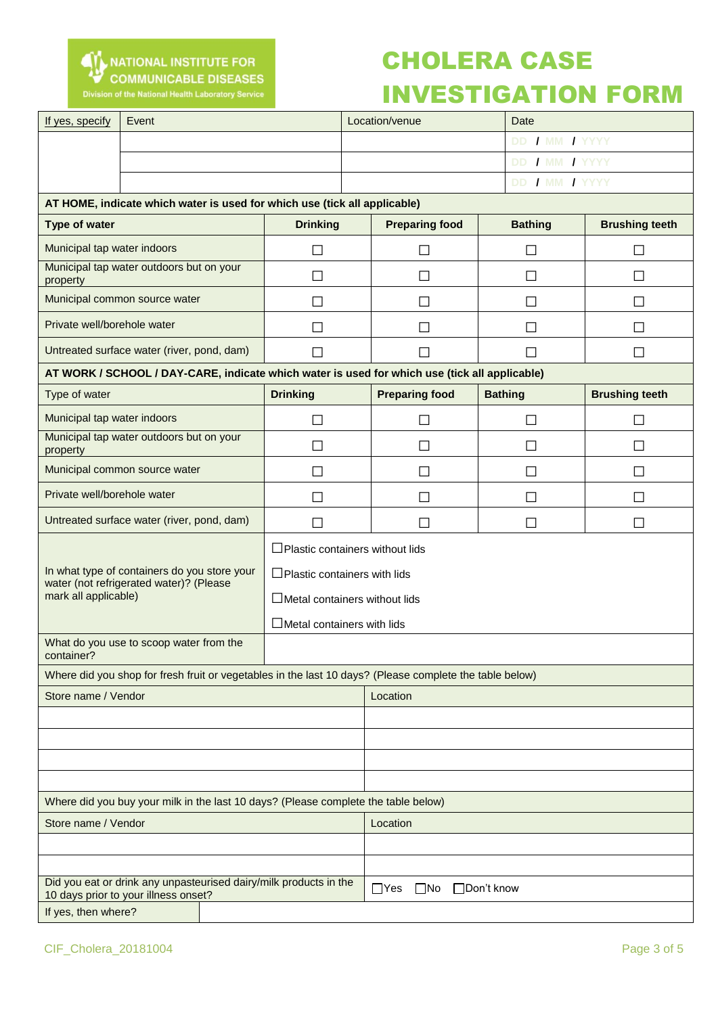

## CHOLERA CASE

### INVESTIGATION FORM

| If yes, specify                                                                                         | Event                                                                                         |                                        |  | Location/venue           | Date           |                       |  |  |
|---------------------------------------------------------------------------------------------------------|-----------------------------------------------------------------------------------------------|----------------------------------------|--|--------------------------|----------------|-----------------------|--|--|
|                                                                                                         |                                                                                               |                                        |  |                          | DD / MM / YYYY |                       |  |  |
|                                                                                                         |                                                                                               |                                        |  |                          | DD / MM / YYYY |                       |  |  |
|                                                                                                         |                                                                                               |                                        |  |                          | DD / MM / YYYY |                       |  |  |
|                                                                                                         | AT HOME, indicate which water is used for which use (tick all applicable)                     |                                        |  |                          |                |                       |  |  |
| <b>Type of water</b>                                                                                    |                                                                                               | <b>Drinking</b>                        |  | <b>Preparing food</b>    | <b>Bathing</b> | <b>Brushing teeth</b> |  |  |
| Municipal tap water indoors                                                                             |                                                                                               | $\Box$                                 |  | H                        | П              |                       |  |  |
| Municipal tap water outdoors but on your<br>property                                                    |                                                                                               | $\Box$                                 |  | $\Box$                   | $\Box$         |                       |  |  |
| Municipal common source water                                                                           |                                                                                               | $\Box$                                 |  | П                        | $\Box$         | П                     |  |  |
| Private well/borehole water                                                                             |                                                                                               | $\Box$                                 |  | M.                       | П              |                       |  |  |
| Untreated surface water (river, pond, dam)                                                              |                                                                                               | $\Box$                                 |  |                          | $\mathsf{L}$   |                       |  |  |
|                                                                                                         | AT WORK / SCHOOL / DAY-CARE, indicate which water is used for which use (tick all applicable) |                                        |  |                          |                |                       |  |  |
| Type of water                                                                                           |                                                                                               | <b>Drinking</b>                        |  | <b>Preparing food</b>    | <b>Bathing</b> | <b>Brushing teeth</b> |  |  |
| Municipal tap water indoors                                                                             |                                                                                               | $\Box$                                 |  | $\overline{\phantom{0}}$ | $\Box$         |                       |  |  |
| Municipal tap water outdoors but on your<br>property                                                    |                                                                                               | $\Box$                                 |  | П                        | $\Box$         | $\Box$                |  |  |
| Municipal common source water                                                                           |                                                                                               | $\Box$                                 |  | $\Box$                   | П              | $\sim$                |  |  |
| Private well/borehole water                                                                             |                                                                                               | $\Box$                                 |  | $\Box$                   | П              | П                     |  |  |
| Untreated surface water (river, pond, dam)                                                              |                                                                                               | П                                      |  |                          | $\mathsf{L}$   |                       |  |  |
|                                                                                                         |                                                                                               | $\Box$ Plastic containers without lids |  |                          |                |                       |  |  |
|                                                                                                         | In what type of containers do you store your<br>water (not refrigerated water)? (Please       | $\Box$ Plastic containers with lids    |  |                          |                |                       |  |  |
| mark all applicable)                                                                                    |                                                                                               | $\Box$ Metal containers without lids   |  |                          |                |                       |  |  |
|                                                                                                         |                                                                                               | $\Box$ Metal containers with lids      |  |                          |                |                       |  |  |
| What do you use to scoop water from the<br>container?                                                   |                                                                                               |                                        |  |                          |                |                       |  |  |
| Where did you shop for fresh fruit or vegetables in the last 10 days? (Please complete the table below) |                                                                                               |                                        |  |                          |                |                       |  |  |
| Store name / Vendor                                                                                     |                                                                                               |                                        |  | Location                 |                |                       |  |  |
|                                                                                                         |                                                                                               |                                        |  |                          |                |                       |  |  |
|                                                                                                         |                                                                                               |                                        |  |                          |                |                       |  |  |
|                                                                                                         |                                                                                               |                                        |  |                          |                |                       |  |  |
|                                                                                                         |                                                                                               |                                        |  |                          |                |                       |  |  |
| Where did you buy your milk in the last 10 days? (Please complete the table below)                      |                                                                                               |                                        |  |                          |                |                       |  |  |
| Store name / Vendor                                                                                     |                                                                                               |                                        |  | Location                 |                |                       |  |  |
|                                                                                                         |                                                                                               |                                        |  |                          |                |                       |  |  |
| Did you eat or drink any unpasteurised dairy/milk products in the                                       |                                                                                               |                                        |  |                          |                |                       |  |  |
| 10 days prior to your illness onset?                                                                    |                                                                                               |                                        |  | $\Box$ Yes<br>$\Box$ No  | □Don't know    |                       |  |  |
| If yes, then where?                                                                                     |                                                                                               |                                        |  |                          |                |                       |  |  |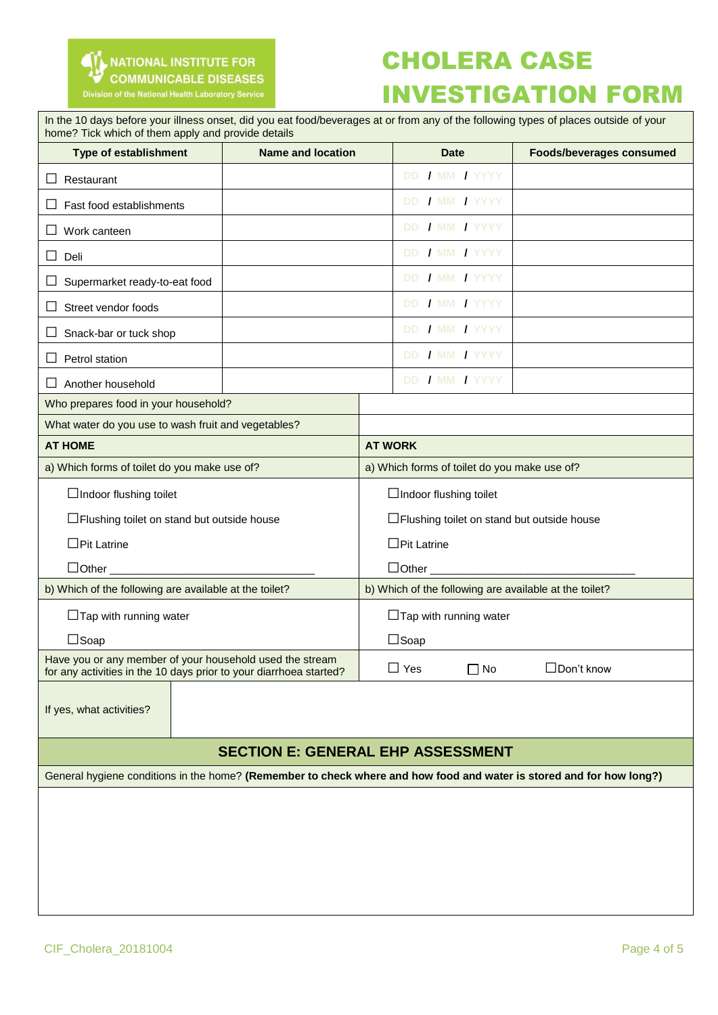

## CHOLERA CASE INVESTIGATION FORM

| In the 10 days before your illness onset, did you eat food/beverages at or from any of the following types of places outside of your<br>home? Tick which of them apply and provide details |  |                                                        |                                 |  |  |  |
|--------------------------------------------------------------------------------------------------------------------------------------------------------------------------------------------|--|--------------------------------------------------------|---------------------------------|--|--|--|
| <b>Name and location</b><br><b>Type of establishment</b>                                                                                                                                   |  | <b>Date</b>                                            | <b>Foods/beverages consumed</b> |  |  |  |
| Restaurant<br>ப                                                                                                                                                                            |  | DD / MM / YYYY                                         |                                 |  |  |  |
| Fast food establishments                                                                                                                                                                   |  | DD / MM / YYYY                                         |                                 |  |  |  |
| Work canteen                                                                                                                                                                               |  | DD / MM / YYYY                                         |                                 |  |  |  |
| Deli<br>⊔                                                                                                                                                                                  |  | DD / MM / YYYY                                         |                                 |  |  |  |
| Supermarket ready-to-eat food<br>Ц                                                                                                                                                         |  | DD / MM / YYYY                                         |                                 |  |  |  |
| Street vendor foods<br>ப                                                                                                                                                                   |  | DD / MM / YYYY                                         |                                 |  |  |  |
| Snack-bar or tuck shop<br>ப                                                                                                                                                                |  | DD / MM / YYYY                                         |                                 |  |  |  |
| Petrol station<br>ப                                                                                                                                                                        |  | DD / MM / YYYY                                         |                                 |  |  |  |
| $\Box$ Another household                                                                                                                                                                   |  | DD / MM / YYYY                                         |                                 |  |  |  |
| Who prepares food in your household?                                                                                                                                                       |  |                                                        |                                 |  |  |  |
| What water do you use to wash fruit and vegetables?                                                                                                                                        |  |                                                        |                                 |  |  |  |
| <b>AT HOME</b>                                                                                                                                                                             |  | <b>AT WORK</b>                                         |                                 |  |  |  |
| a) Which forms of toilet do you make use of?                                                                                                                                               |  | a) Which forms of toilet do you make use of?           |                                 |  |  |  |
| $\Box$ Indoor flushing toilet                                                                                                                                                              |  | $\Box$ Indoor flushing toilet                          |                                 |  |  |  |
| □ Flushing toilet on stand but outside house                                                                                                                                               |  | □ Flushing toilet on stand but outside house           |                                 |  |  |  |
| $\Box$ Pit Latrine                                                                                                                                                                         |  | $\Box$ Pit Latrine                                     |                                 |  |  |  |
| $\Box$ Other                                                                                                                                                                               |  | $\Box$ Other $\_\_\_\_\_\_\$                           |                                 |  |  |  |
| b) Which of the following are available at the toilet?                                                                                                                                     |  | b) Which of the following are available at the toilet? |                                 |  |  |  |
| $\Box$ Tap with running water                                                                                                                                                              |  | $\Box$ Tap with running water                          |                                 |  |  |  |
| $\Box$ Soap                                                                                                                                                                                |  | $\Box$ Soap                                            |                                 |  |  |  |
| Have you or any member of your household used the stream<br>for any activities in the 10 days prior to your diarrhoea started?                                                             |  | $\Box$ Yes<br>$\Box$ No                                | $\Box$ Don't know               |  |  |  |
| If yes, what activities?                                                                                                                                                                   |  |                                                        |                                 |  |  |  |
| <b>SECTION E: GENERAL EHP ASSESSMENT</b>                                                                                                                                                   |  |                                                        |                                 |  |  |  |
| General hygiene conditions in the home? (Remember to check where and how food and water is stored and for how long?)                                                                       |  |                                                        |                                 |  |  |  |
|                                                                                                                                                                                            |  |                                                        |                                 |  |  |  |